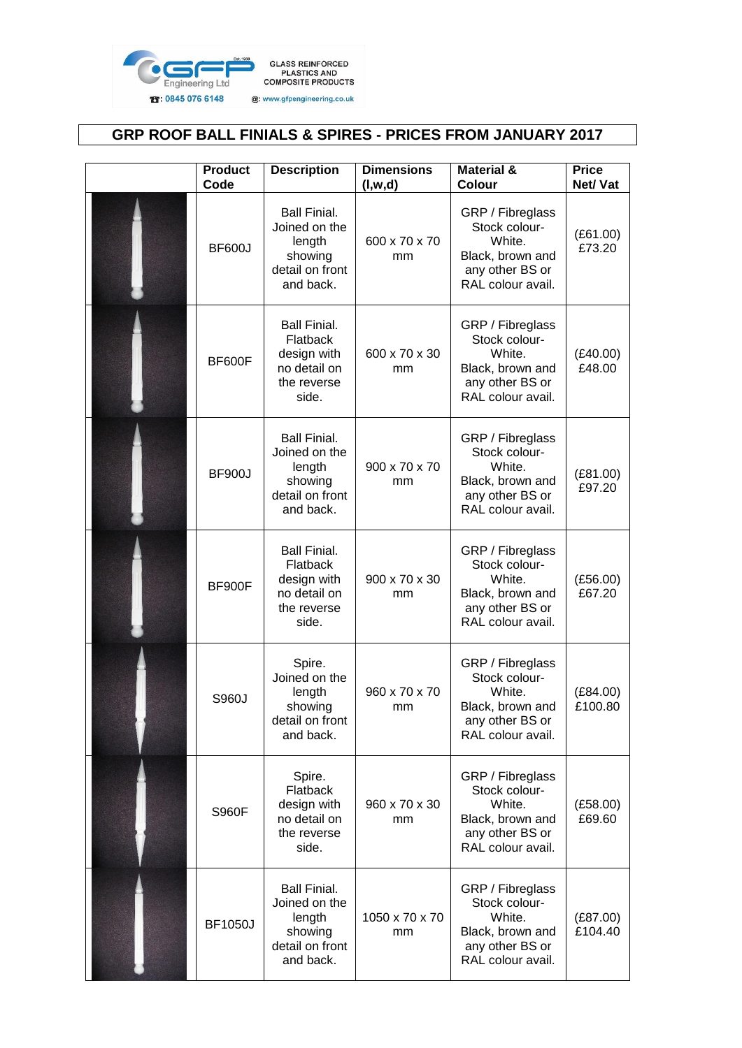

## **GRP ROOF BALL FINIALS & SPIRES - PRICES FROM JANUARY 2017**

| <b>Product</b><br>Code | <b>Description</b>                                                                            | <b>Dimensions</b><br>(l, w, d) | <b>Material &amp;</b><br>Colour                                                                         | <b>Price</b><br>Net/ Vat |
|------------------------|-----------------------------------------------------------------------------------------------|--------------------------------|---------------------------------------------------------------------------------------------------------|--------------------------|
| <b>BF600J</b>          | <b>Ball Finial.</b><br>Joined on the<br>length<br>showing<br>detail on front<br>and back.     | 600 x 70 x 70<br>mm            | GRP / Fibreglass<br>Stock colour-<br>White.<br>Black, brown and<br>any other BS or<br>RAL colour avail. | (E61.00)<br>£73.20       |
| BF600F                 | <b>Ball Finial.</b><br>Flatback<br>design with<br>no detail on<br>the reverse<br>side.        | 600 x 70 x 30<br>mm            | GRP / Fibreglass<br>Stock colour-<br>White.<br>Black, brown and<br>any other BS or<br>RAL colour avail. | (E40.00)<br>£48.00       |
| <b>BF900J</b>          | <b>Ball Finial.</b><br>Joined on the<br>length<br>showing<br>detail on front<br>and back.     | 900 x 70 x 70<br>mm            | GRP / Fibreglass<br>Stock colour-<br>White.<br>Black, brown and<br>any other BS or<br>RAL colour avail. | (E81.00)<br>£97.20       |
| BF900F                 | <b>Ball Finial.</b><br><b>Flatback</b><br>design with<br>no detail on<br>the reverse<br>side. | 900 x 70 x 30<br>mm            | GRP / Fibreglass<br>Stock colour-<br>White.<br>Black, brown and<br>any other BS or<br>RAL colour avail. | (E56.00)<br>£67.20       |
| S960J                  | Spire.<br>Joined on the<br>length<br>showing<br>detail on front<br>and back.                  | 960 x 70 x 70<br>mm            | GRP / Fibreglass<br>Stock colour-<br>White.<br>Black, brown and<br>any other BS or<br>RAL colour avail. | (E84.00)<br>£100.80      |
| <b>S960F</b>           | Spire.<br>Flatback<br>design with<br>no detail on<br>the reverse<br>side.                     | 960 x 70 x 30<br>mm            | GRP / Fibreglass<br>Stock colour-<br>White.<br>Black, brown and<br>any other BS or<br>RAL colour avail. | (E58.00)<br>£69.60       |
| <b>BF1050J</b>         | <b>Ball Finial.</b><br>Joined on the<br>length<br>showing<br>detail on front<br>and back.     | 1050 x 70 x 70<br>mm           | GRP / Fibreglass<br>Stock colour-<br>White.<br>Black, brown and<br>any other BS or<br>RAL colour avail. | (E87.00)<br>£104.40      |